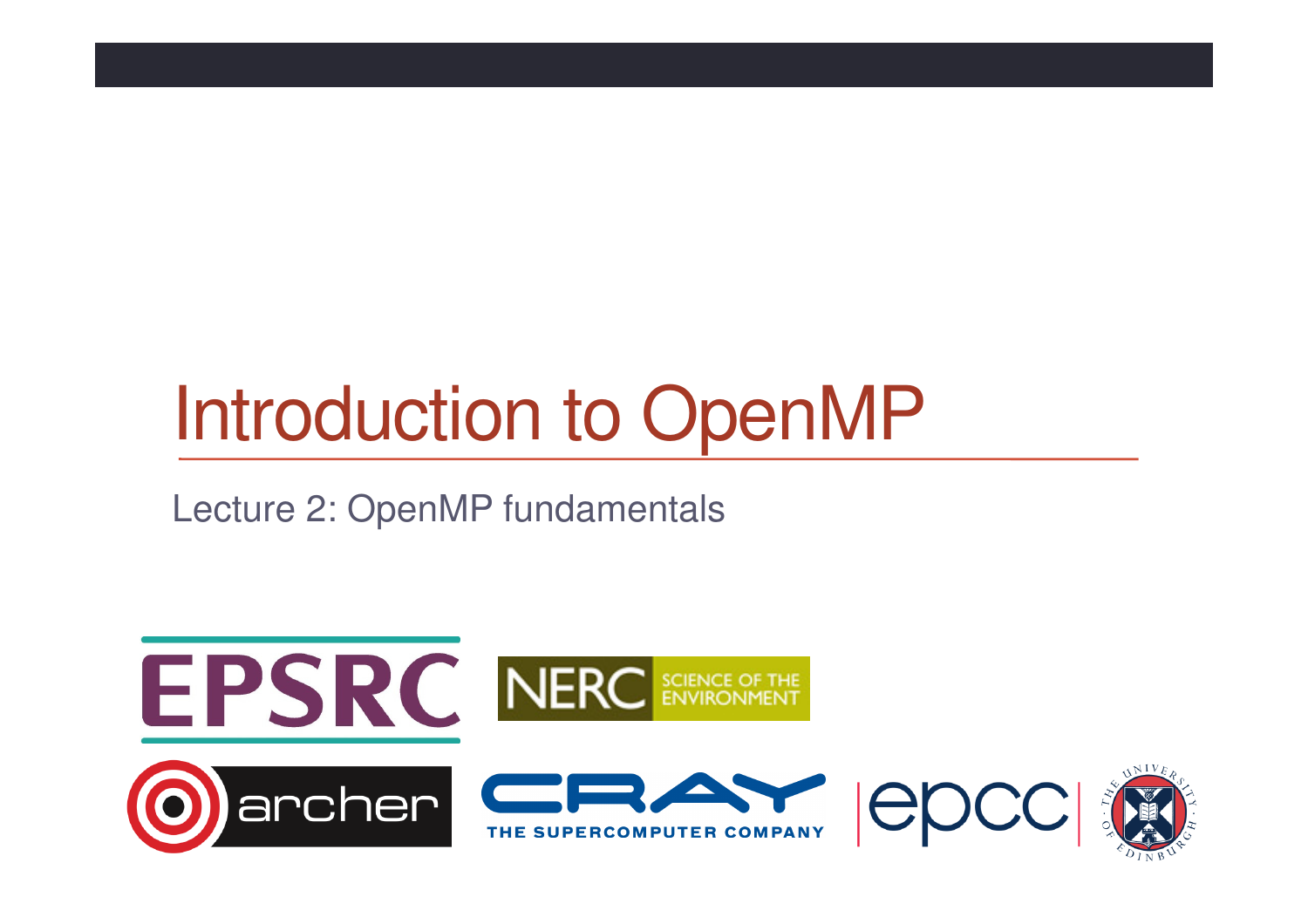# Introduction to OpenMP

Lecture 2: OpenMP fundamentals

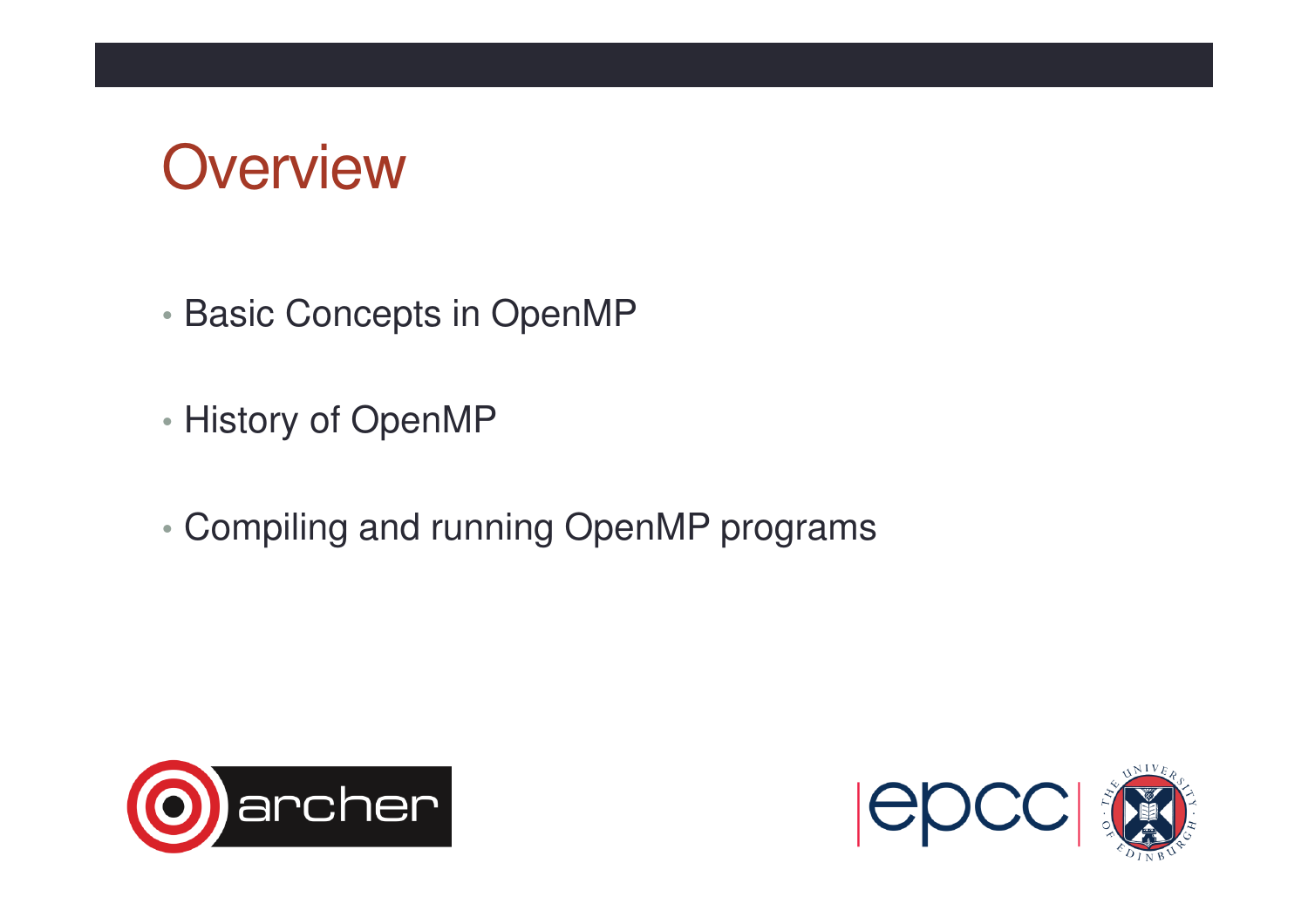#### **Overview**

- •Basic Concepts in OpenMP
- •History of OpenMP
- •Compiling and running OpenMP programs



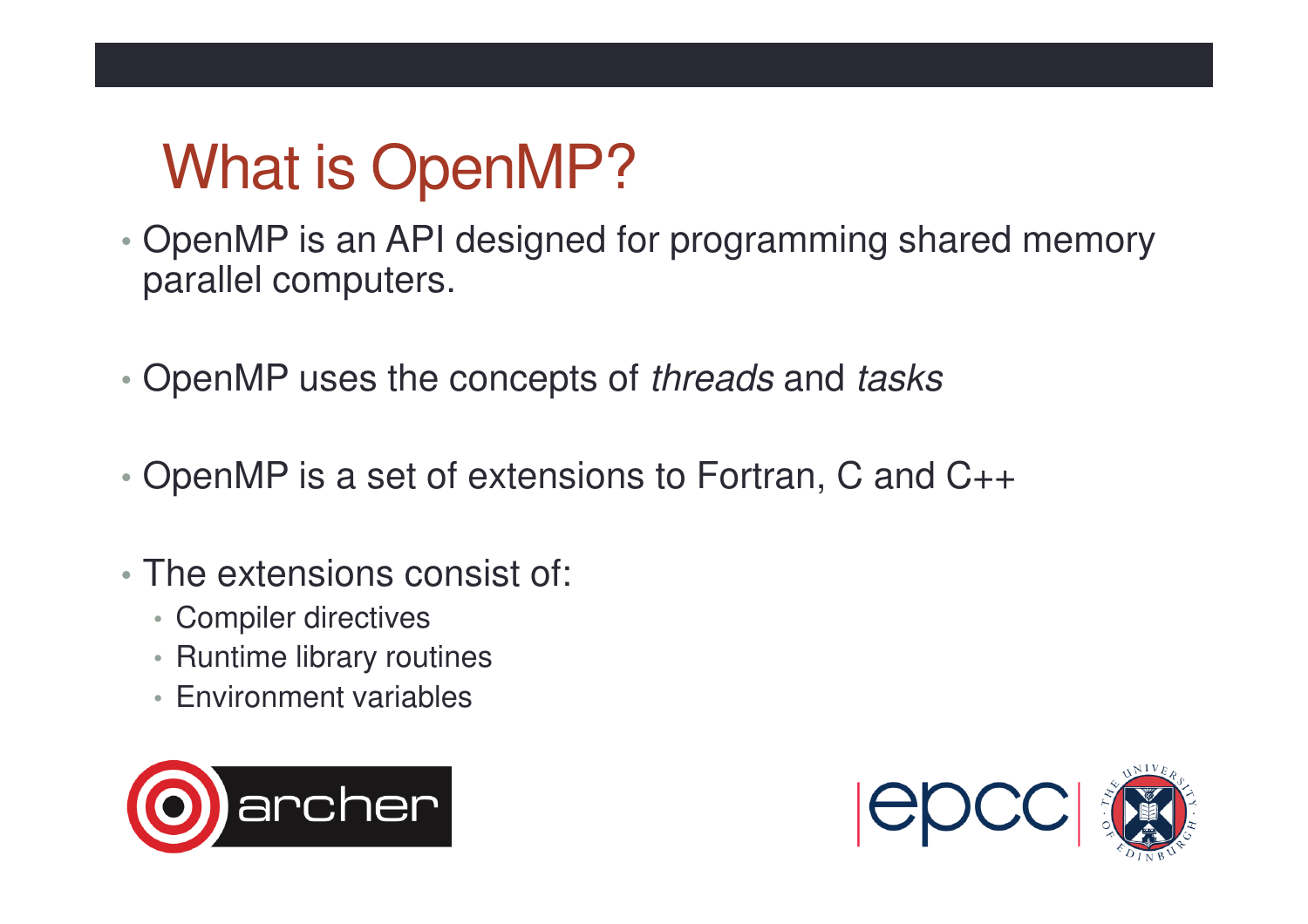## What is OpenMP?

- • OpenMP is an API designed for programming shared memory parallel computers.
- •• OpenMP uses the concepts of threads and tasks
- •OpenMP is a set of extensions to Fortran, C and C++
- The extensions consist of:
	- Compiler directives
	- Runtime library routines
	- Environment variables



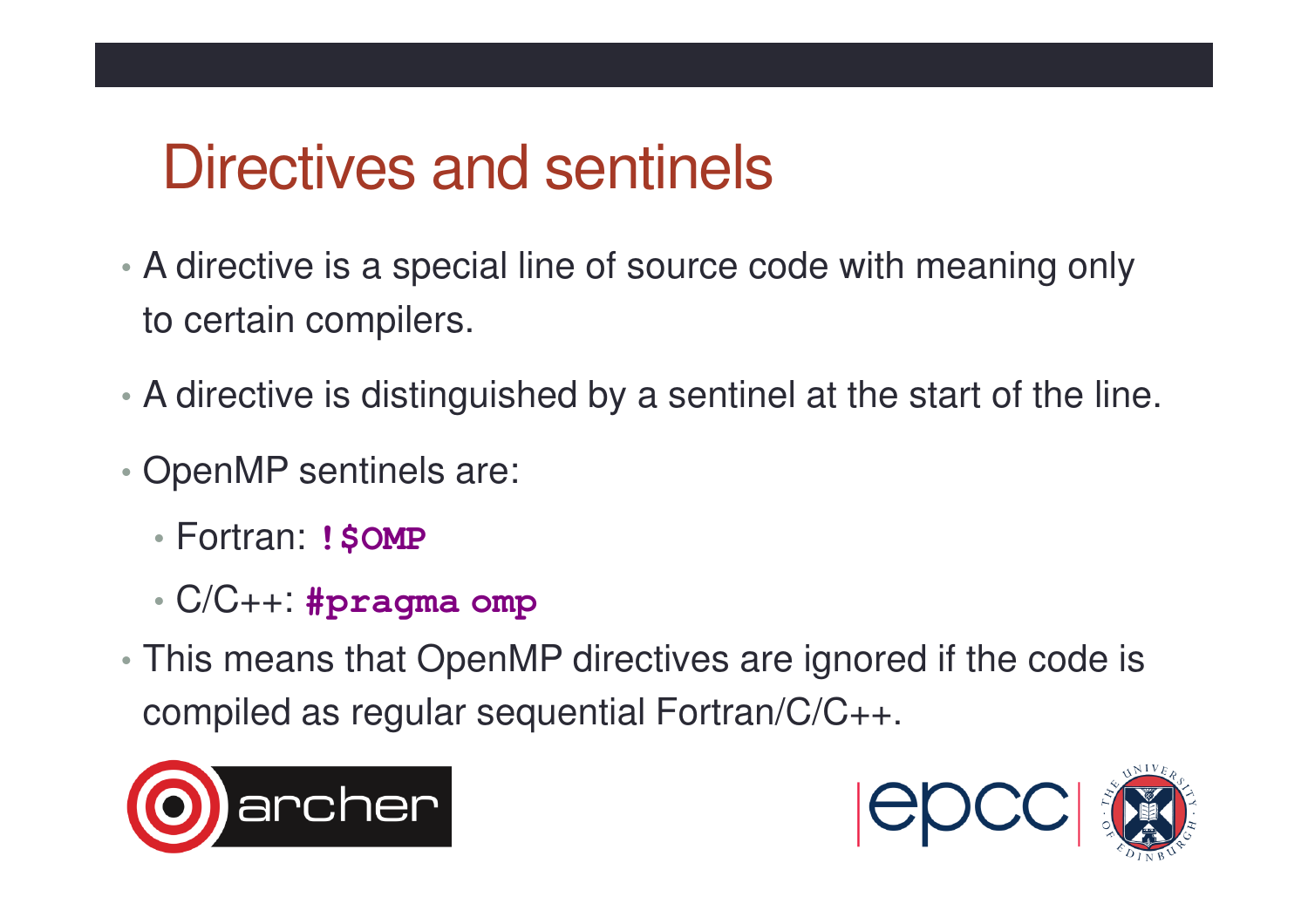### Directives and sentinels

- A directive is a special line of source code with meaning only to certain compilers.
- A directive is distinguished by a sentinel at the start of the line.
- • OpenMP sentinels are:
	- Fortran: **!\$OMP**
	- •C/C++: **#pragma omp**
- • This means that OpenMP directives are ignored if the code is compiled as regular sequential Fortran/C/C++.



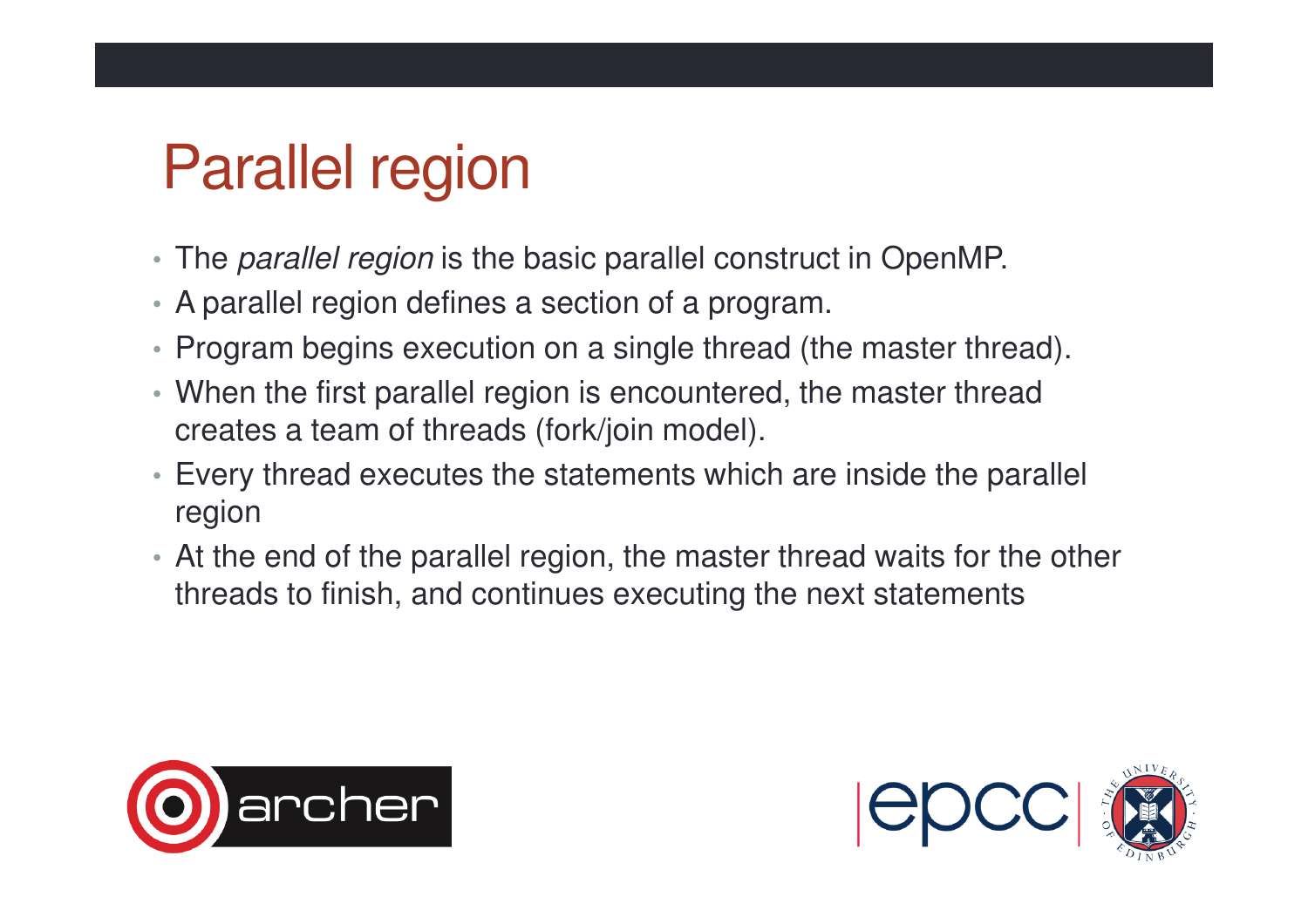## Parallel region

- The *parallel region* is the basic parallel construct in OpenMP.
- A parallel region defines a section of a program.
- Program begins execution on a single thread (the master thread).
- When the first parallel region is encountered, the master thread creates a team of threads (fork/join model).
- Every thread executes the statements which are inside the parallel region
- At the end of the parallel region, the master thread waits for the other threads to finish, and continues executing the next statements



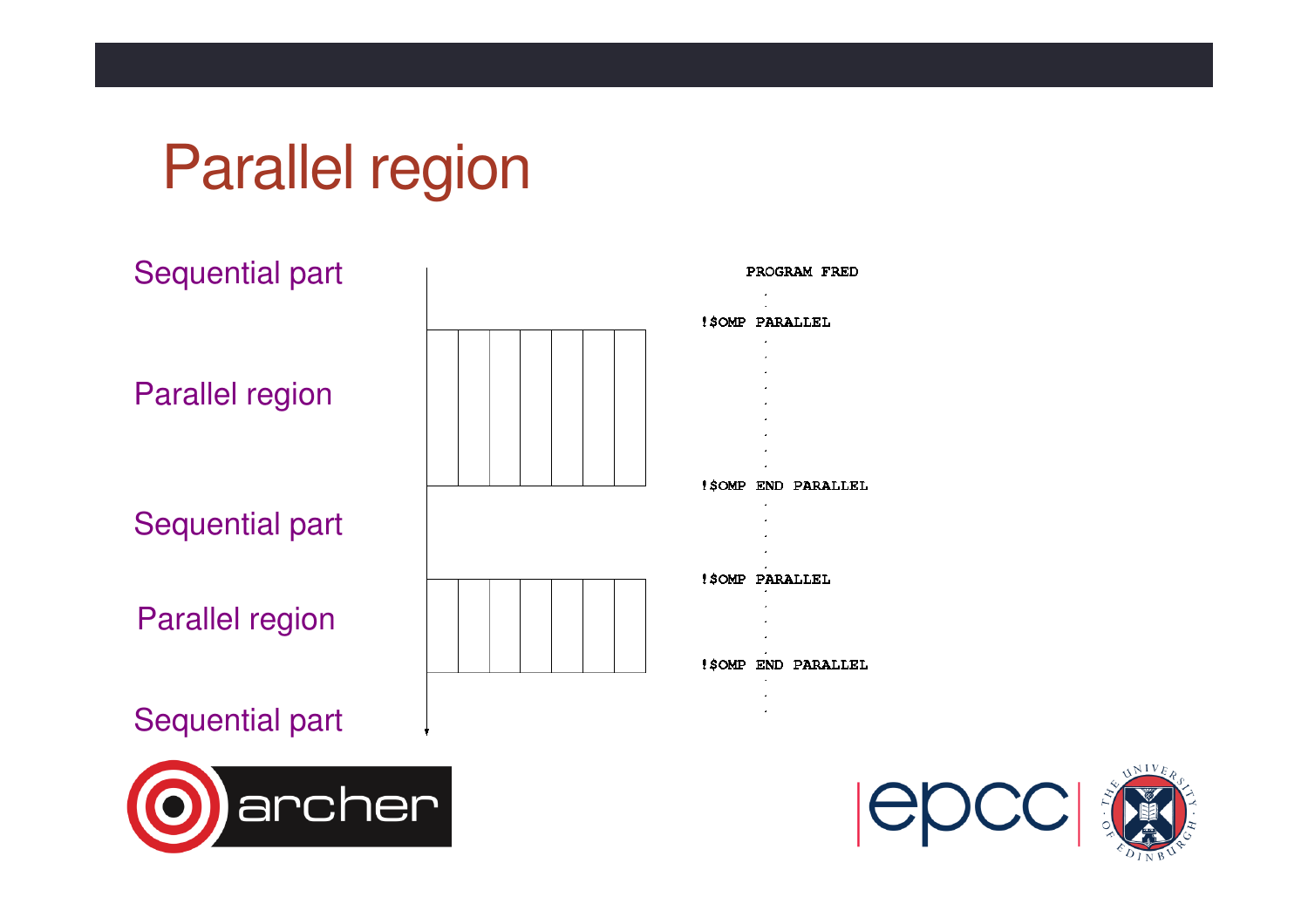#### Parallel region



#### Sequential part



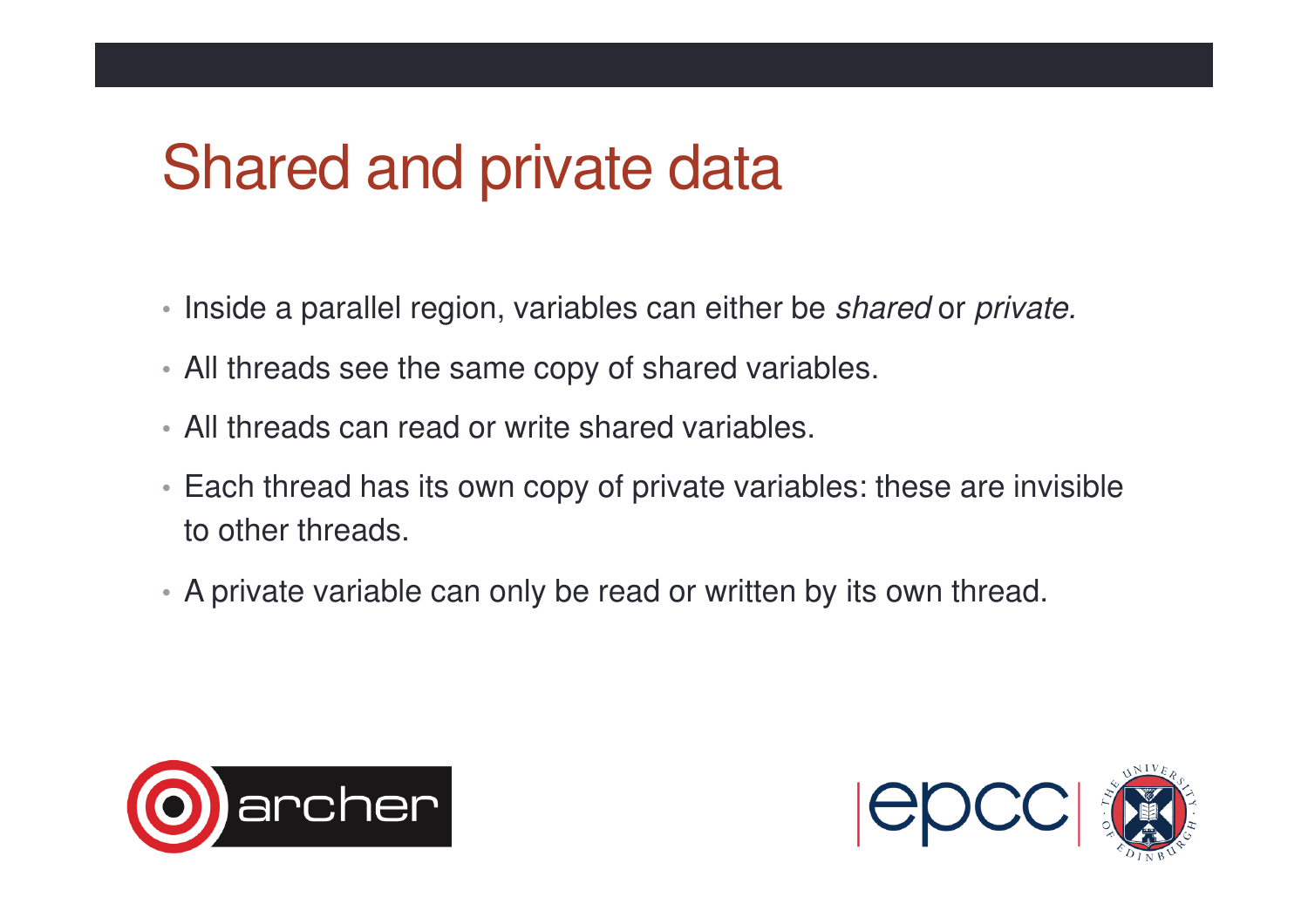#### Shared and private data

- Inside a parallel region, variables can either be *shared* or *private.*
- All threads see the same copy of shared variables.
- All threads can read or write shared variables.
- Each thread has its own copy of private variables: these are invisible to other threads.
- A private variable can only be read or written by its own thread.



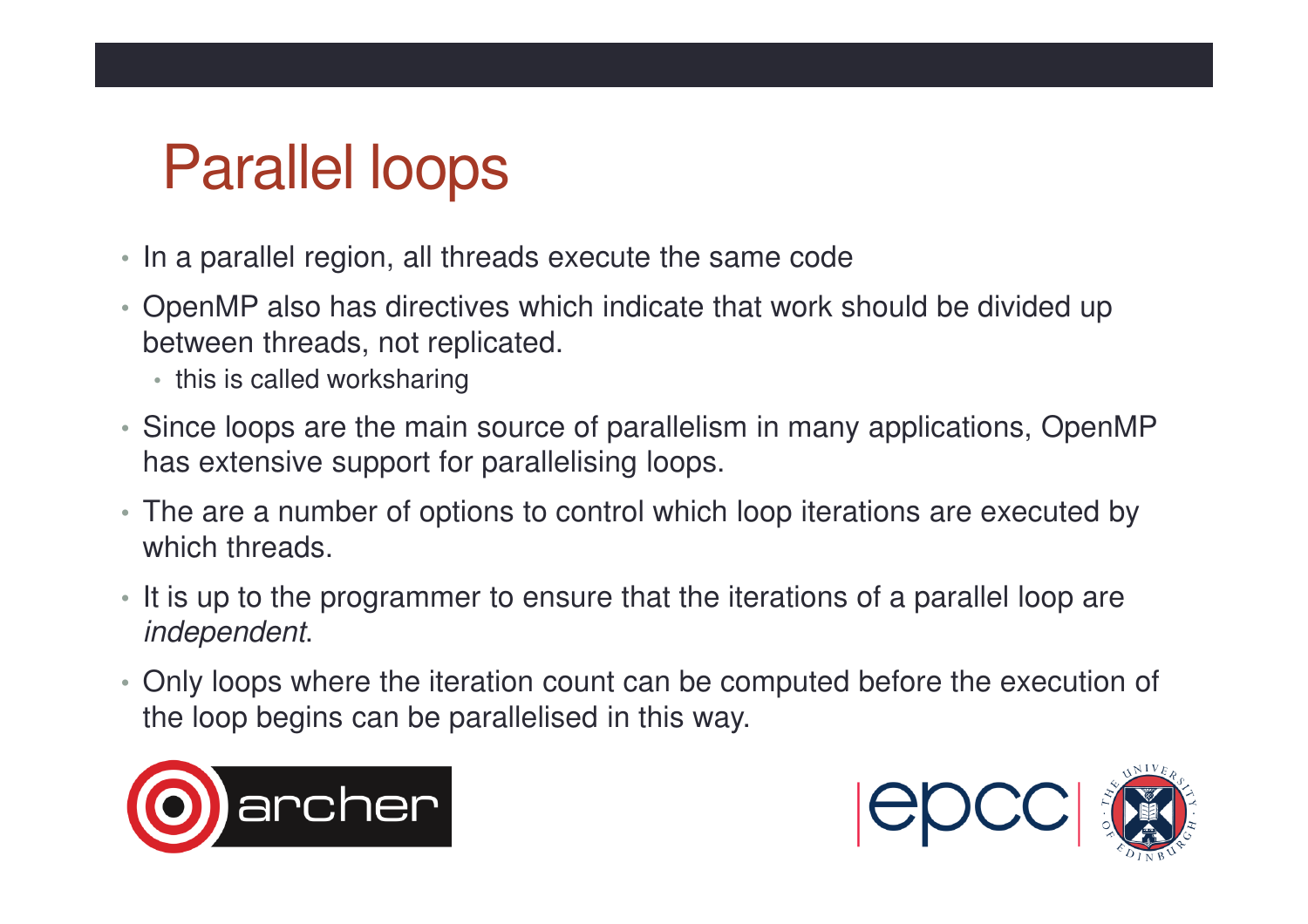### Parallel loops

- In a parallel region, all threads execute the same code
- OpenMP also has directives which indicate that work should be divided up between threads, not replicated.
	- this is called worksharing
- Since loops are the main source of parallelism in many applications, OpenMP has extensive support for parallelising loops.
- The are a number of options to control which loop iterations are executed by which threads.
- It is up to the programmer to ensure that the iterations of a parallel loop are independent.
- Only loops where the iteration count can be computed before the execution of the loop begins can be parallelised in this way.



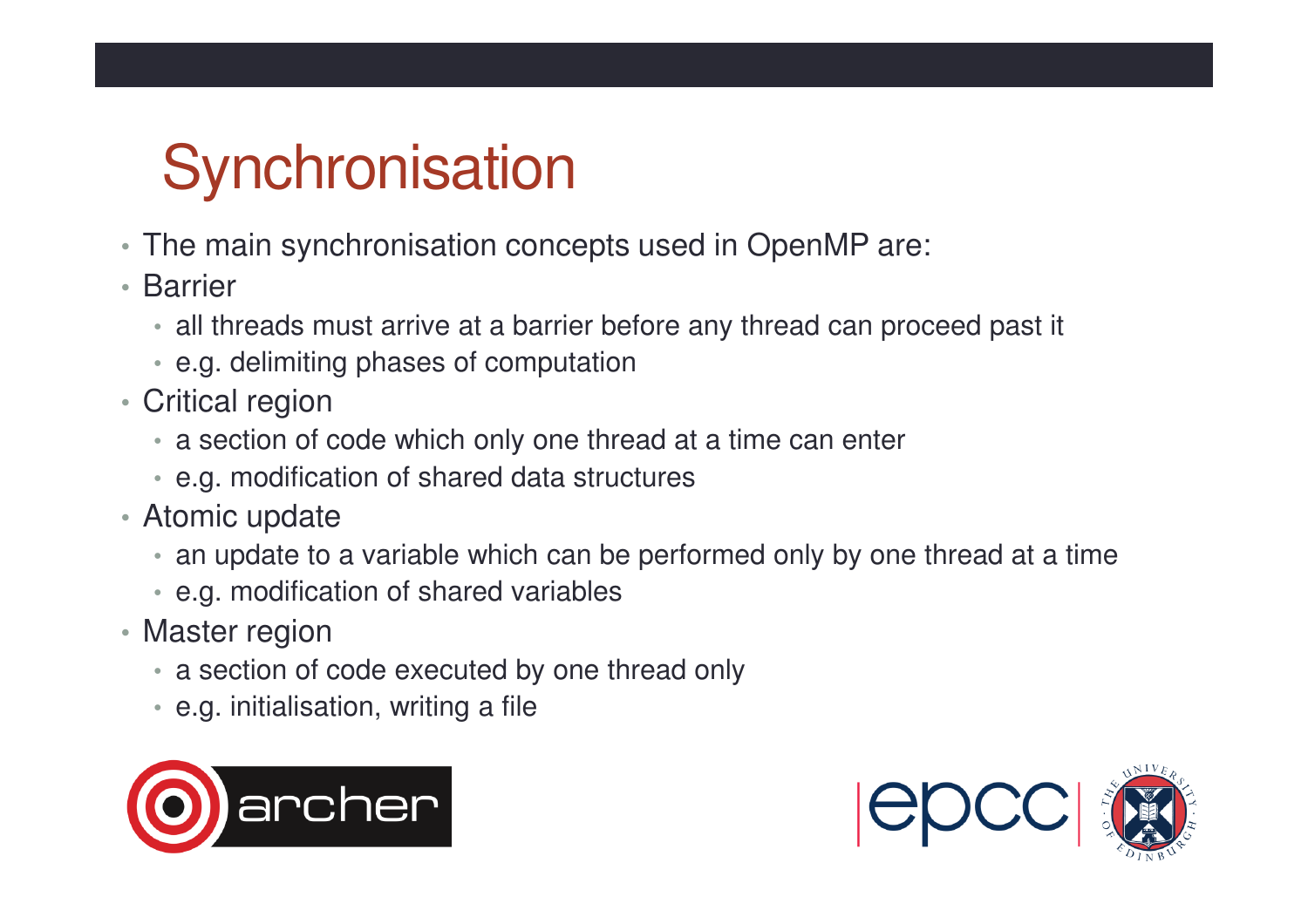## **Synchronisation**

- The main synchronisation concepts used in OpenMP are:
- Barrier
	- all threads must arrive at a barrier before any thread can proceed past it
	- e.g. delimiting phases of computation
- Critical region
	- a section of code which only one thread at a time can enter
	- e.g. modification of shared data structures
- Atomic update
	- an update to a variable which can be performed only by one thread at a time
	- e.g. modification of shared variables
- Master region
	- a section of code executed by one thread only
	- e.g. initialisation, writing a file



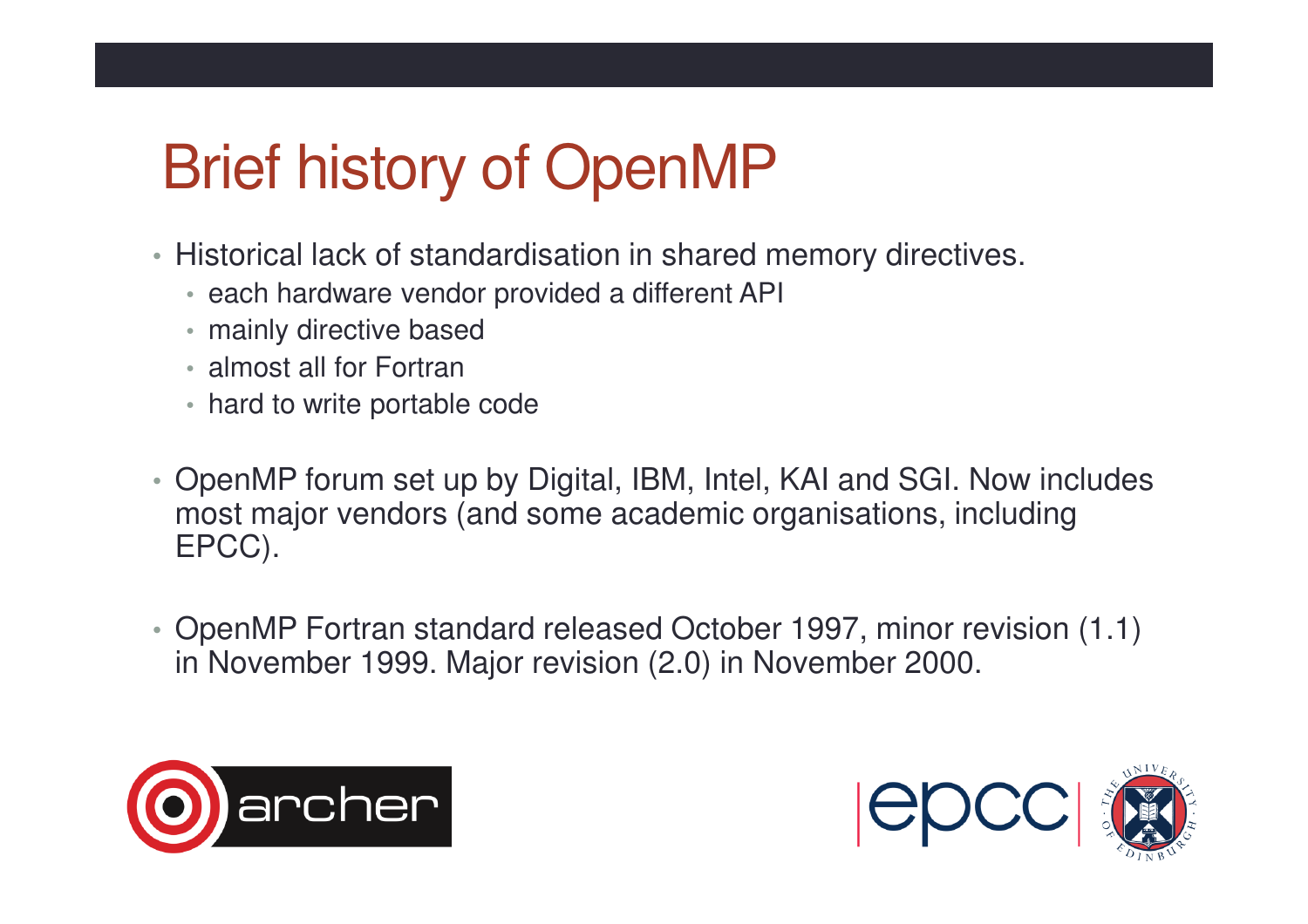## Brief history of OpenMP

- Historical lack of standardisation in shared memory directives.
	- each hardware vendor provided a different API
	- mainly directive based
	- almost all for Fortran
	- hard to write portable code
- OpenMP forum set up by Digital, IBM, Intel, KAI and SGI. Now includes most major vendors (and some academic organisations, including EPCC).
- OpenMP Fortran standard released October 1997, minor revision (1.1) in November 1999. Major revision (2.0) in November 2000.



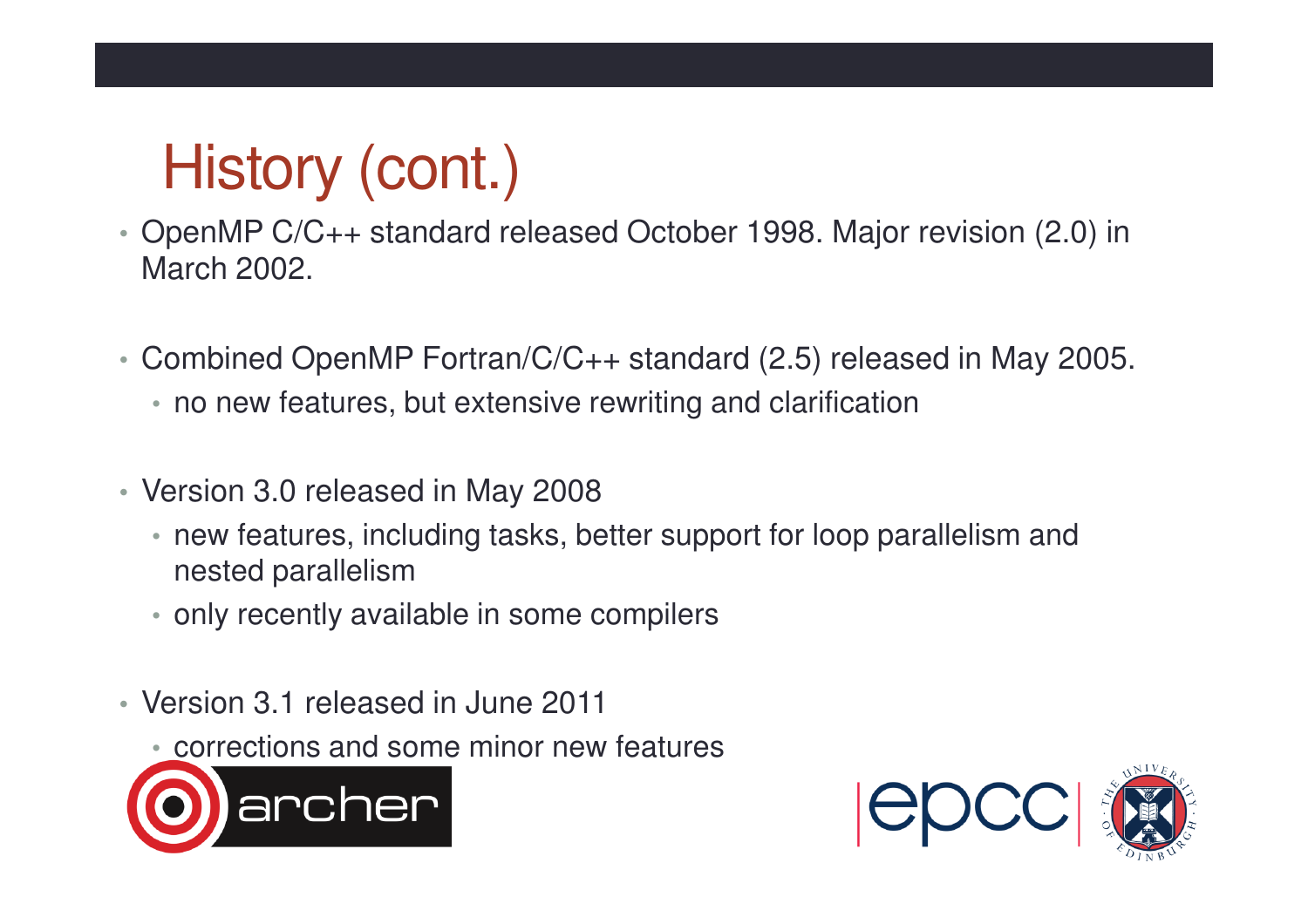## History (cont.)

- OpenMP C/C++ standard released October 1998. Major revision (2.0) in March 2002.
- Combined OpenMP Fortran/C/C++ standard (2.5) released in May 2005.
	- no new features, but extensive rewriting and clarification
- Version 3.0 released in May 2008
	- new features, including tasks, better support for loop parallelism and nested parallelism
	- only recently available in some compilers
- Version 3.1 released in June 2011
	- corrections and some minor new features



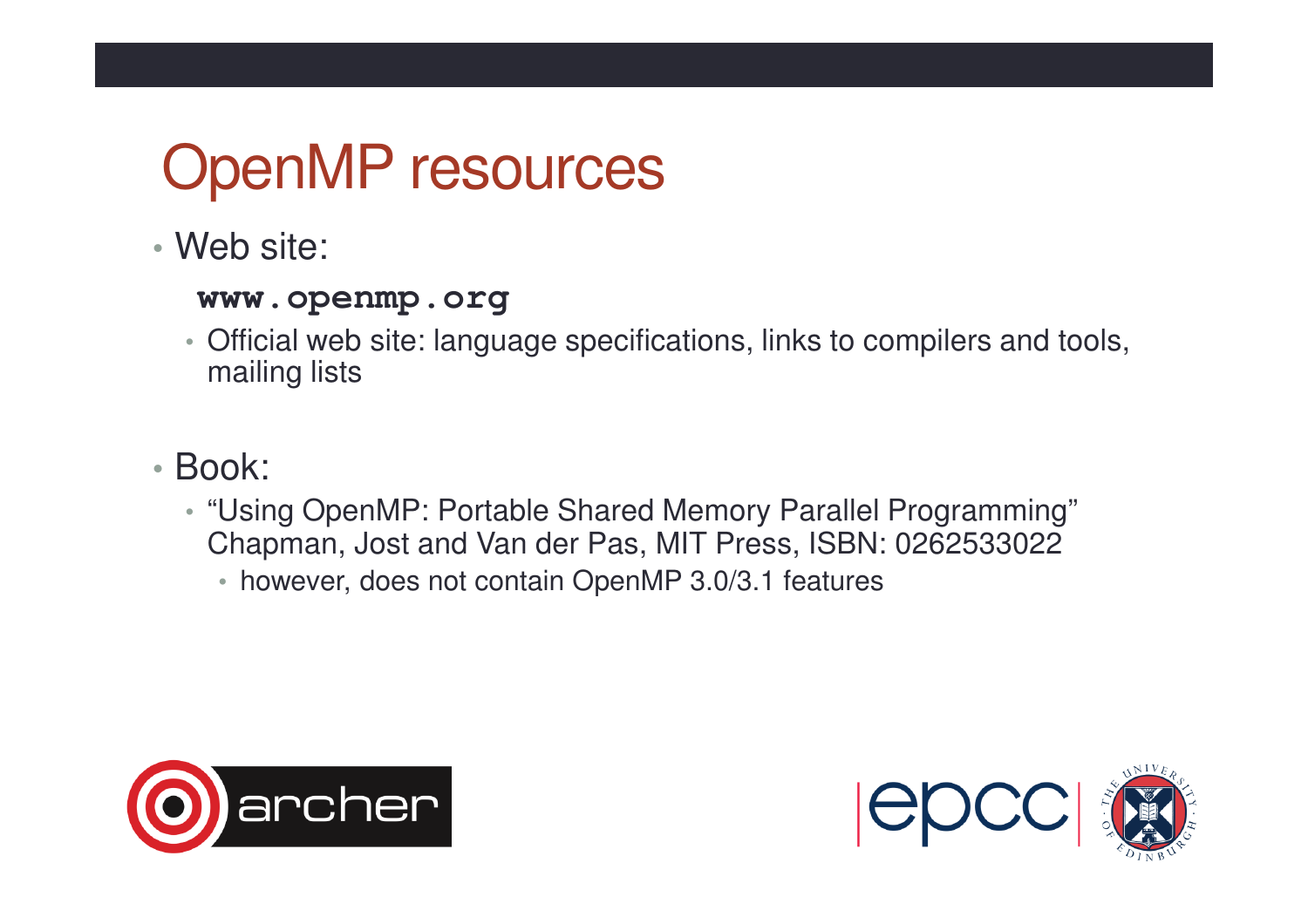### OpenMP resources

• Web site:

#### **www.openmp.org**

- Official web site: language specifications, links to compilers and tools, mailing lists
- Book:
	- "Using OpenMP: Portable Shared Memory Parallel Programming" Chapman, Jost and Van der Pas, MIT Press, ISBN: 0262533022
		- however, does not contain OpenMP 3.0/3.1 features



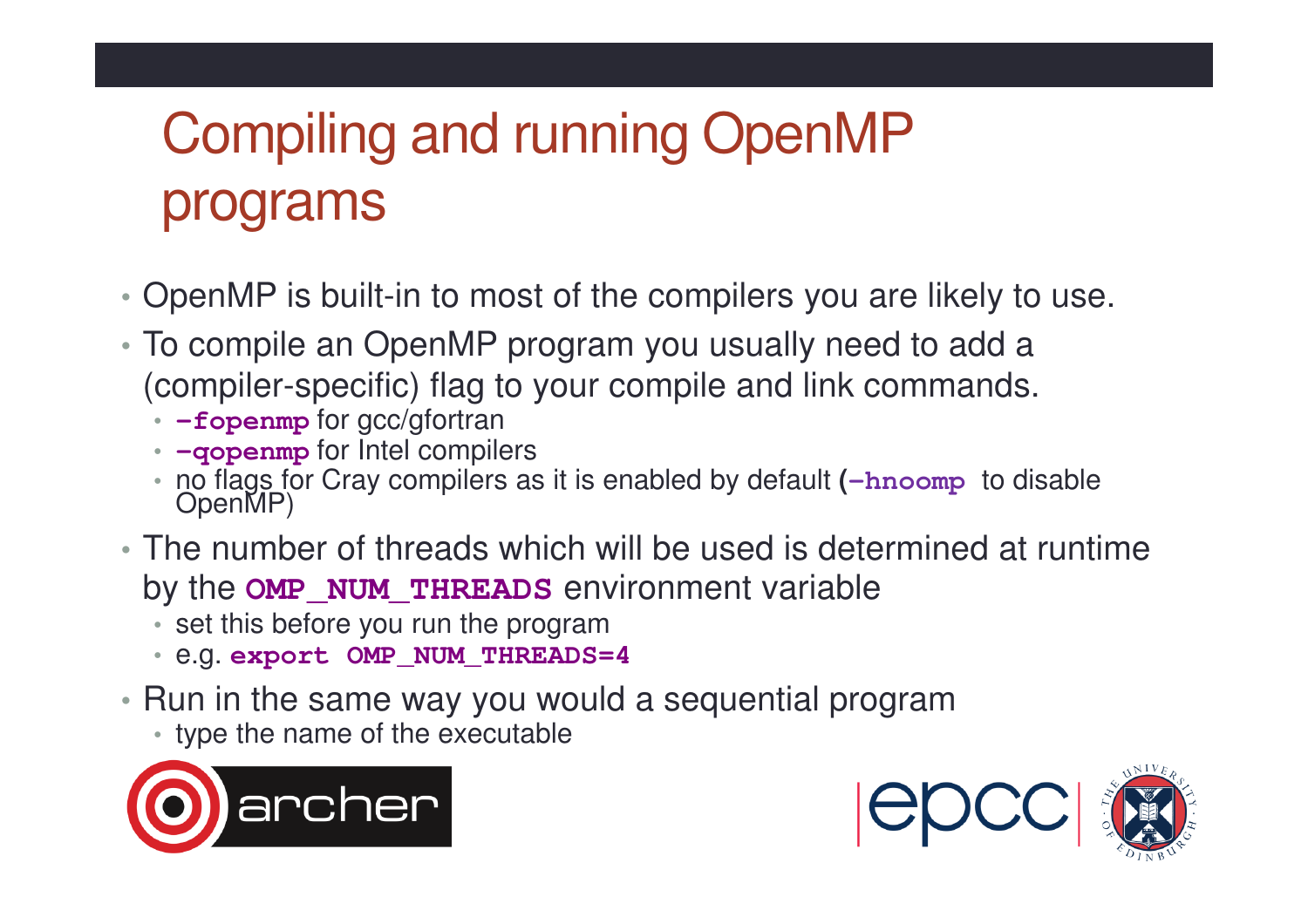## Compiling and running OpenMP programs

- OpenMP is built-in to most of the compilers you are likely to use.
- To compile an OpenMP program you usually need to add a (compiler-specific) flag to your compile and link commands.
	- **-fopenmp** for gcc/gfortran
	- **-qopenmp** for Intel compilers
	- no flags for Cray compilers as it is enabled by default (-hnoomp to disable OpenMP)
- The number of threads which will be used is determined at runtime by the **OMP\_NUM\_THREADS** environment variable
	- set this before you run the program
	- e.g. **export OMP\_NUM\_THREADS=4**
- Run in the same way you would a sequential program
	- type the name of the executable



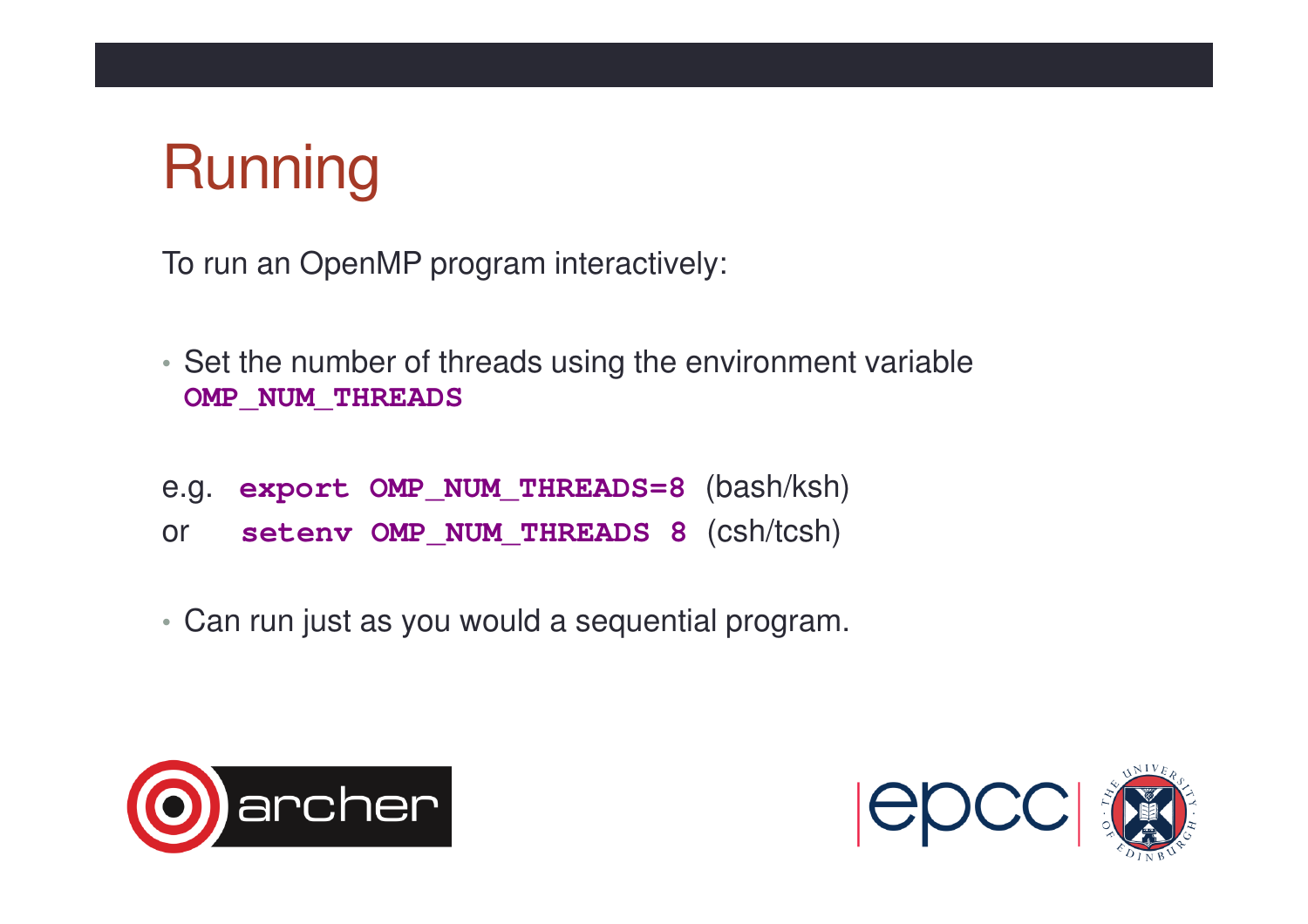## **Running**

To run an OpenMP program interactively:

- Set the number of threads using the environment variable **OMP\_NUM\_THREADS**
- e.g. **export OMP\_NUM\_THREADS=8** (bash/ksh)
- or **setenv OMP\_NUM\_THREADS 8** (csh/tcsh)
- Can run just as you would a sequential program.



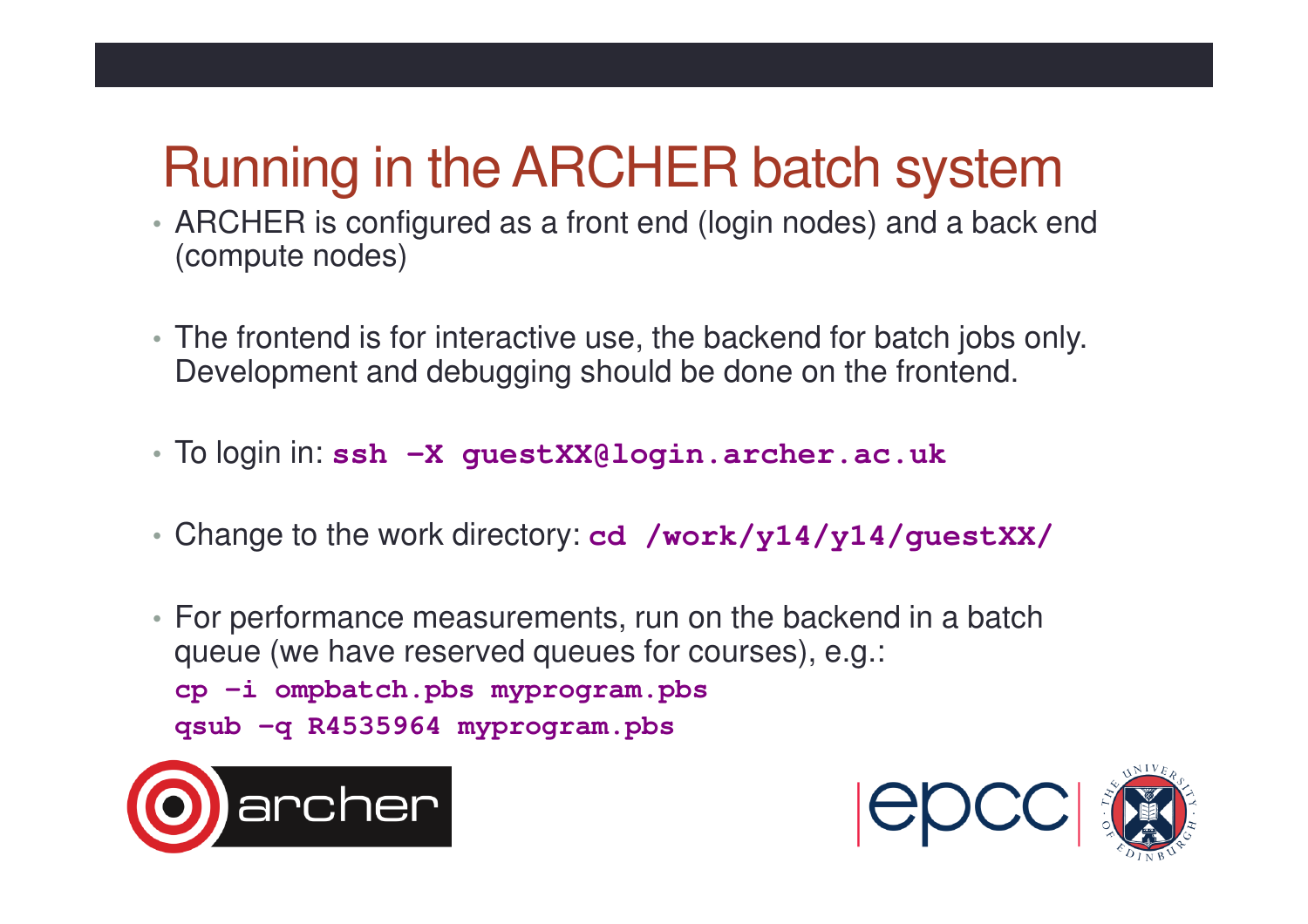#### Running in the ARCHER batch system

- ARCHER is configured as a front end (login nodes) and a back end (compute nodes)
- The frontend is for interactive use, the backend for batch jobs only. Development and debugging should be done on the frontend.
- To login in: **ssh –X guestXX@login.archer.ac.uk**
- Change to the work directory: **cd /work/y14/y14/guestXX/**

• For performance measurements, run on the backend in a batch queue (we have reserved queues for courses), e.g.:**cp –i ompbatch.pbs myprogram.pbs qsub –q R4535964 myprogram.pbs**



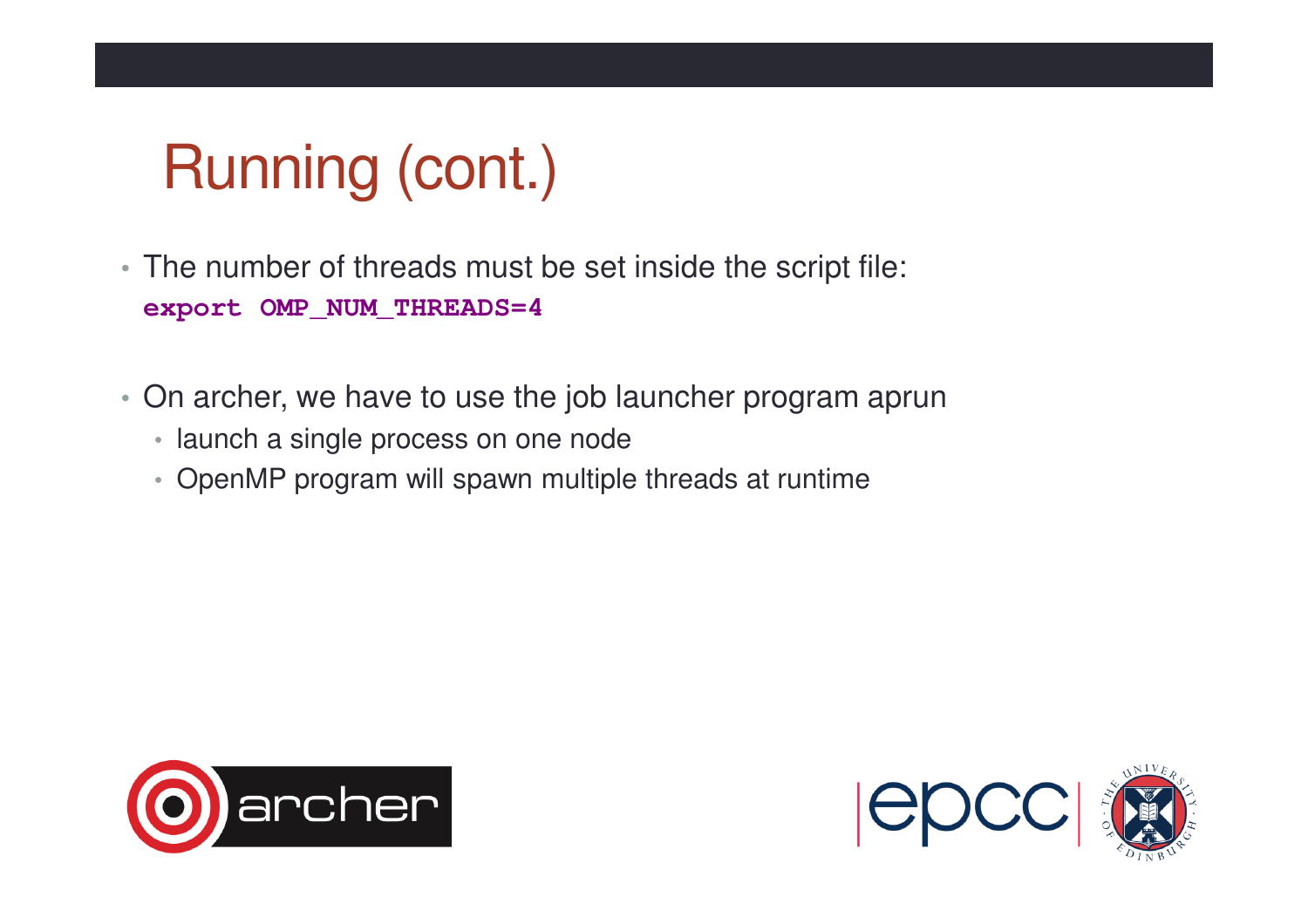## Running (cont.)

- The number of threads must be set inside the script file: **export OMP\_NUM\_THREADS=4**
- On archer, we have to use the job launcher program aprun
	- launch a single process on one node
	- OpenMP program will spawn multiple threads at runtime